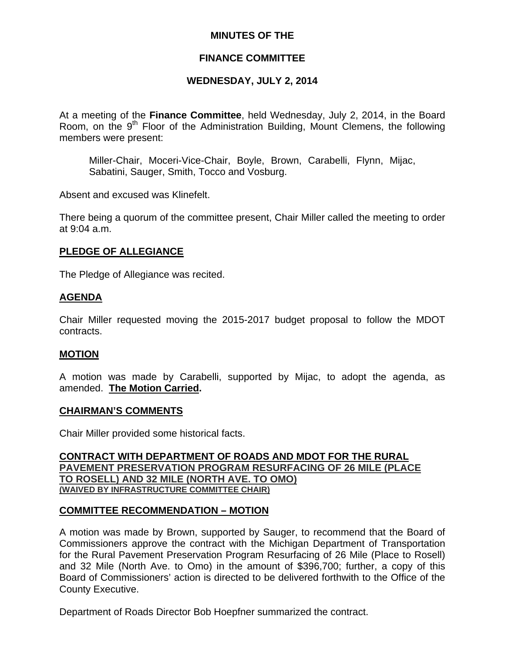## **MINUTES OF THE**

## **FINANCE COMMITTEE**

# **WEDNESDAY, JULY 2, 2014**

At a meeting of the **Finance Committee**, held Wednesday, July 2, 2014, in the Board Room, on the 9<sup>th</sup> Floor of the Administration Building, Mount Clemens, the following members were present:

Miller-Chair, Moceri-Vice-Chair, Boyle, Brown, Carabelli, Flynn, Mijac, Sabatini, Sauger, Smith, Tocco and Vosburg.

Absent and excused was Klinefelt.

There being a quorum of the committee present, Chair Miller called the meeting to order at 9:04 a.m.

## **PLEDGE OF ALLEGIANCE**

The Pledge of Allegiance was recited.

## **AGENDA**

Chair Miller requested moving the 2015-2017 budget proposal to follow the MDOT contracts.

## **MOTION**

A motion was made by Carabelli, supported by Mijac, to adopt the agenda, as amended. **The Motion Carried.** 

## **CHAIRMAN'S COMMENTS**

Chair Miller provided some historical facts.

**CONTRACT WITH DEPARTMENT OF ROADS AND MDOT FOR THE RURAL PAVEMENT PRESERVATION PROGRAM RESURFACING OF 26 MILE (PLACE TO ROSELL) AND 32 MILE (NORTH AVE. TO OMO) (WAIVED BY INFRASTRUCTURE COMMITTEE CHAIR)**

## **COMMITTEE RECOMMENDATION – MOTION**

A motion was made by Brown, supported by Sauger, to recommend that the Board of Commissioners approve the contract with the Michigan Department of Transportation for the Rural Pavement Preservation Program Resurfacing of 26 Mile (Place to Rosell) and 32 Mile (North Ave. to Omo) in the amount of \$396,700; further, a copy of this Board of Commissioners' action is directed to be delivered forthwith to the Office of the County Executive.

Department of Roads Director Bob Hoepfner summarized the contract.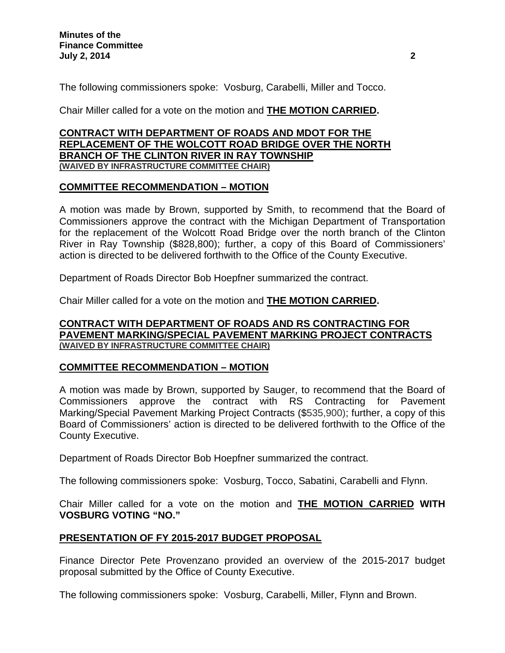The following commissioners spoke: Vosburg, Carabelli, Miller and Tocco.

Chair Miller called for a vote on the motion and **THE MOTION CARRIED.** 

# **CONTRACT WITH DEPARTMENT OF ROADS AND MDOT FOR THE REPLACEMENT OF THE WOLCOTT ROAD BRIDGE OVER THE NORTH BRANCH OF THE CLINTON RIVER IN RAY TOWNSHIP (WAIVED BY INFRASTRUCTURE COMMITTEE CHAIR)**

# **COMMITTEE RECOMMENDATION – MOTION**

A motion was made by Brown, supported by Smith, to recommend that the Board of Commissioners approve the contract with the Michigan Department of Transportation for the replacement of the Wolcott Road Bridge over the north branch of the Clinton River in Ray Township (\$828,800); further, a copy of this Board of Commissioners' action is directed to be delivered forthwith to the Office of the County Executive.

Department of Roads Director Bob Hoepfner summarized the contract.

Chair Miller called for a vote on the motion and **THE MOTION CARRIED.** 

## **CONTRACT WITH DEPARTMENT OF ROADS AND RS CONTRACTING FOR PAVEMENT MARKING/SPECIAL PAVEMENT MARKING PROJECT CONTRACTS (WAIVED BY INFRASTRUCTURE COMMITTEE CHAIR)**

# **COMMITTEE RECOMMENDATION – MOTION**

A motion was made by Brown, supported by Sauger, to recommend that the Board of Commissioners approve the contract with RS Contracting for Pavement Marking/Special Pavement Marking Project Contracts (\$535,900); further, a copy of this Board of Commissioners' action is directed to be delivered forthwith to the Office of the County Executive.

Department of Roads Director Bob Hoepfner summarized the contract.

The following commissioners spoke: Vosburg, Tocco, Sabatini, Carabelli and Flynn.

Chair Miller called for a vote on the motion and **THE MOTION CARRIED WITH VOSBURG VOTING "NO."** 

# **PRESENTATION OF FY 2015-2017 BUDGET PROPOSAL**

Finance Director Pete Provenzano provided an overview of the 2015-2017 budget proposal submitted by the Office of County Executive.

The following commissioners spoke: Vosburg, Carabelli, Miller, Flynn and Brown.